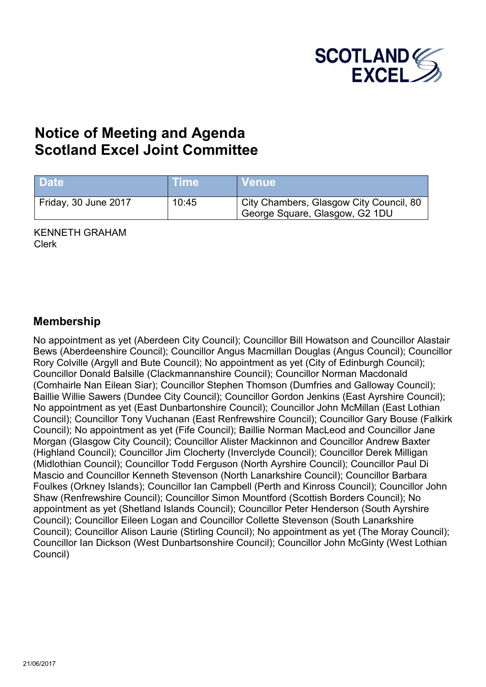

# **Notice of Meeting and Agenda Scotland Excel Joint Committee**

| <b>Date</b>          | <b>Time</b> | <b>Venue</b>                                                              |
|----------------------|-------------|---------------------------------------------------------------------------|
| Friday, 30 June 2017 | 10:45       | City Chambers, Glasgow City Council, 80<br>George Square, Glasgow, G2 1DU |

KENNETH GRAHAM Clerk

### **Membership**

No appointment as yet (Aberdeen City Council); Councillor Bill Howatson and Councillor Alastair Bews (Aberdeenshire Council); Councillor Angus Macmillan Douglas (Angus Council); Councillor Rory Colville (Argyll and Bute Council); No appointment as yet (City of Edinburgh Council); Councillor Donald Balsille (Clackmannanshire Council); Councillor Norman Macdonald (Comhairle Nan Eilean Siar); Councillor Stephen Thomson (Dumfries and Galloway Council); Baillie Willie Sawers (Dundee City Council); Councillor Gordon Jenkins (East Ayrshire Council); No appointment as yet (East Dunbartonshire Council); Councillor John McMillan (East Lothian Council); Councillor Tony Vuchanan (East Renfrewshire Council); Councillor Gary Bouse (Falkirk Council); No appointment as yet (Fife Council); Baillie Norman MacLeod and Councillor Jane Morgan (Glasgow City Council); Councillor Alister Mackinnon and Councillor Andrew Baxter (Highland Council); Councillor Jim Clocherty (Inverclyde Council); Councillor Derek Milligan (Midlothian Council); Councillor Todd Ferguson (North Ayrshire Council); Councillor Paul Di Mascio and Councillor Kenneth Stevenson (North Lanarkshire Council); Councillor Barbara Foulkes (Orkney Islands); Councillor Ian Campbell (Perth and Kinross Council); Councillor John Shaw (Renfrewshire Council); Councillor Simon Mountford (Scottish Borders Council); No appointment as yet (Shetland Islands Council); Councillor Peter Henderson (South Ayrshire Council); Councillor Eileen Logan and Councillor Collette Stevenson (South Lanarkshire Council); Councillor Alison Laurie (Stirling Council); No appointment as yet (The Moray Council); Councillor Ian Dickson (West Dunbartsonshire Council); Councillor John McGinty (West Lothian Council)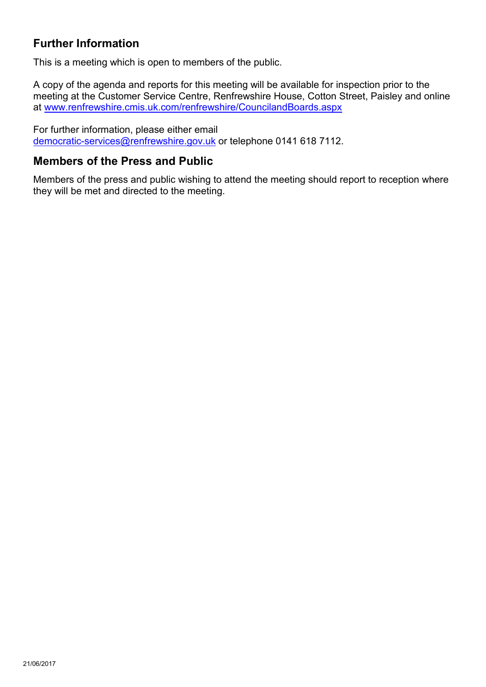## **Further Information**

This is a meeting which is open to members of the public.

A [copy of the agenda and reports for this meeting will be available for in](http://www.renfrewshire.cmis.uk.com/renfrewshire/CouncilandBoards.aspx)spection prior to the meeting at the Customer Service Centre, Renfrewshire House, Cotton Street, Paisley and online at www.renfrewshire.cmis.uk.com/renfrewshire/CouncilandBoards.aspx

For further information, please either email [democratic-services@renfrewshire.gov.uk](mailto:democratic-services@renfrewshire.gov.uk) or telephone 0141 618 7112.

### **Members of the Press and Public**

Members of the press and public wishing to attend the meeting should report to reception where they will be met and directed to the meeting.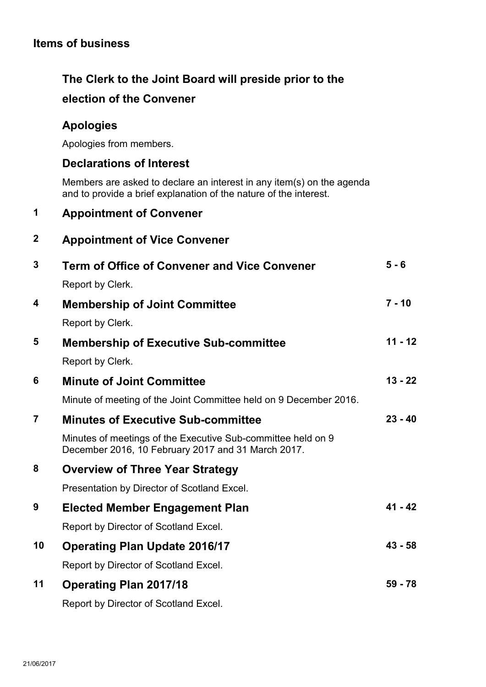## **Items of business**

# **The Clerk to the Joint Board will preside prior to the election of the Convener**

### **Apologies**

Apologies from members.

#### **Declarations of Interest**

Members are asked to declare an interest in any item(s) on the agenda and to provide a brief explanation of the nature of the interest.

### **1 Appointment of Convener**

### **2 Appointment of Vice Convener**

| $\overline{3}$ | <b>Term of Office of Convener and Vice Convener</b>                                                                | $5 - 6$   |
|----------------|--------------------------------------------------------------------------------------------------------------------|-----------|
|                | Report by Clerk.                                                                                                   |           |
| 4              | <b>Membership of Joint Committee</b>                                                                               | $7 - 10$  |
|                | Report by Clerk.                                                                                                   |           |
| 5              | <b>Membership of Executive Sub-committee</b>                                                                       | $11 - 12$ |
|                | Report by Clerk.                                                                                                   |           |
| 6              | <b>Minute of Joint Committee</b>                                                                                   | $13 - 22$ |
|                | Minute of meeting of the Joint Committee held on 9 December 2016.                                                  |           |
| $\overline{7}$ | <b>Minutes of Executive Sub-committee</b>                                                                          | $23 - 40$ |
|                | Minutes of meetings of the Executive Sub-committee held on 9<br>December 2016, 10 February 2017 and 31 March 2017. |           |
| 8              | <b>Overview of Three Year Strategy</b>                                                                             |           |
|                | Presentation by Director of Scotland Excel.                                                                        |           |
| 9              | <b>Elected Member Engagement Plan</b>                                                                              | $41 - 42$ |
|                | Report by Director of Scotland Excel.                                                                              |           |
| 10             | <b>Operating Plan Update 2016/17</b>                                                                               | $43 - 58$ |
|                | Report by Director of Scotland Excel.                                                                              |           |
| 11             | <b>Operating Plan 2017/18</b>                                                                                      | $59 - 78$ |
|                | Report by Director of Scotland Excel.                                                                              |           |